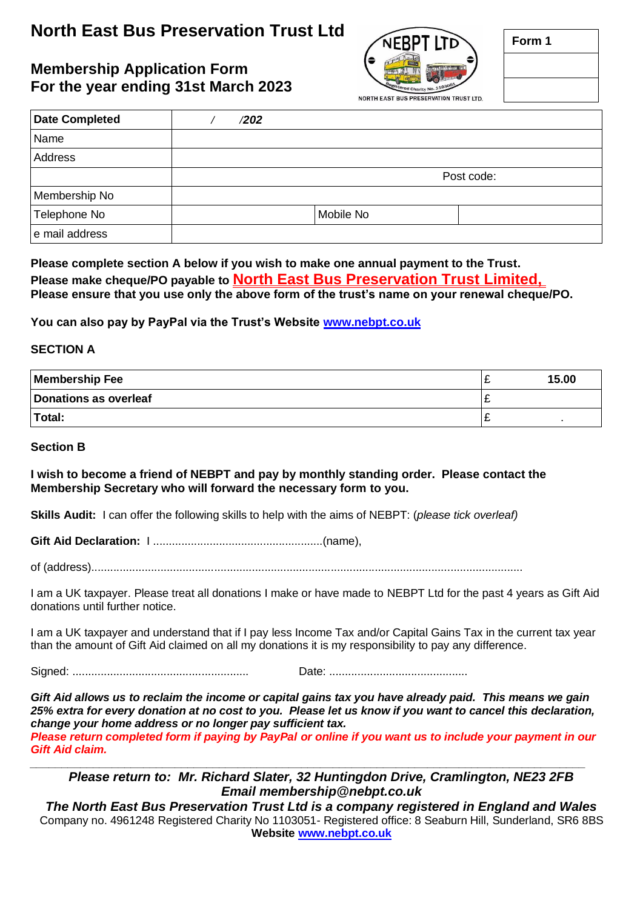# **North East Bus Preservation Trust Ltd**

### **Membership Application Form For the year ending 31st March 2023**



| orm |
|-----|

| <b>Date Completed</b> | /202 |            |  |  |
|-----------------------|------|------------|--|--|
| Name                  |      |            |  |  |
| Address               |      |            |  |  |
|                       |      | Post code: |  |  |
| Membership No         |      |            |  |  |
| Telephone No          |      | Mobile No  |  |  |
| e mail address        |      |            |  |  |

**Please complete section A below if you wish to make one annual payment to the Trust. Please make cheque/PO payable to North East Bus Preservation Trust Limited, Please ensure that you use only the above form of the trust's name on your renewal cheque/PO.**

**You can also pay by PayPal via the Trust's Website [www.nebpt.co.uk](http://www.nebpt.co.uk/)**

#### **SECTION A**

| <b>Membership Fee</b> |   | 15.00 |
|-----------------------|---|-------|
| Donations as overleaf | - |       |
| Total:                |   |       |

#### **Section B**

**I wish to become a friend of NEBPT and pay by monthly standing order. Please contact the Membership Secretary who will forward the necessary form to you.**

**Skills Audit:** I can offer the following skills to help with the aims of NEBPT: (*please tick overleaf)*

**Gift Aid Declaration:** I ......................................................(name),

of (address).........................................................................................................................................

I am a UK taxpayer. Please treat all donations I make or have made to NEBPT Ltd for the past 4 years as Gift Aid donations until further notice.

I am a UK taxpayer and understand that if I pay less Income Tax and/or Capital Gains Tax in the current tax year than the amount of Gift Aid claimed on all my donations it is my responsibility to pay any difference.

Signed: ........................................................ Date: ............................................

*Gift Aid allows us to reclaim the income or capital gains tax you have already paid. This means we gain 25% extra for every donation at no cost to you. Please let us know if you want to cancel this declaration, change your home address or no longer pay sufficient tax.*

*Please return completed form if paying by PayPal or online if you want us to include your payment in our Gift Aid claim. \_\_\_\_\_\_\_\_\_\_\_\_\_\_\_\_\_\_\_\_\_\_\_\_\_\_\_\_\_\_\_\_\_\_\_\_\_\_\_\_\_\_\_\_\_\_\_\_\_\_\_\_\_\_\_\_\_\_\_\_\_\_\_\_\_\_\_\_\_\_\_\_\_\_\_\_\_\_\_\_\_\_\_\_\_\_\_\_*

*Please return to: Mr. Richard Slater, 32 Huntingdon Drive, Cramlington, NE23 2FB Email membership@nebpt.co.uk*

*The North East Bus Preservation Trust Ltd is a company registered in England and Wales* Company no. 4961248 Registered Charity No 1103051- Registered office: 8 Seaburn Hill, Sunderland, SR6 8BS **Website [www.nebpt.co.uk](http://www.nebpt.co.uk/)**